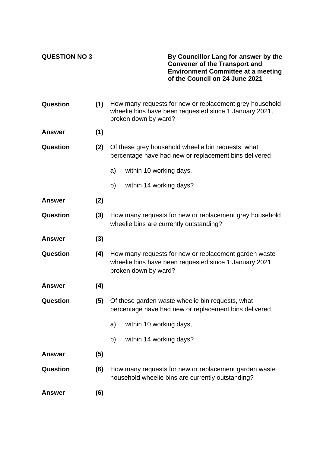**QUESTION NO 3 By Councillor Lang for answer by the Convener of the Transport and Environment Committee at a meeting of the Council on 24 June 2021**

| Question        | (1) | How many requests for new or replacement grey household<br>wheelie bins have been requested since 1 January 2021,<br>broken down by ward? |
|-----------------|-----|-------------------------------------------------------------------------------------------------------------------------------------------|
| <b>Answer</b>   | (1) |                                                                                                                                           |
| Question        | (2) | Of these grey household wheelie bin requests, what<br>percentage have had new or replacement bins delivered                               |
|                 |     | within 10 working days,<br>a)                                                                                                             |
|                 |     | within 14 working days?<br>b)                                                                                                             |
| <b>Answer</b>   | (2) |                                                                                                                                           |
| Question        | (3) | How many requests for new or replacement grey household<br>wheelie bins are currently outstanding?                                        |
| <b>Answer</b>   | (3) |                                                                                                                                           |
| Question        | (4) | How many requests for new or replacement garden waste<br>wheelie bins have been requested since 1 January 2021,<br>broken down by ward?   |
| <b>Answer</b>   | (4) |                                                                                                                                           |
| Question        | (5) | Of these garden waste wheelie bin requests, what<br>percentage have had new or replacement bins delivered                                 |
|                 |     | within 10 working days,<br>a)                                                                                                             |
|                 |     | b) within 14 working days?                                                                                                                |
| <b>Answer</b>   | (5) |                                                                                                                                           |
| <b>Question</b> | (6) | How many requests for new or replacement garden waste<br>household wheelie bins are currently outstanding?                                |
| <b>Answer</b>   | (6) |                                                                                                                                           |